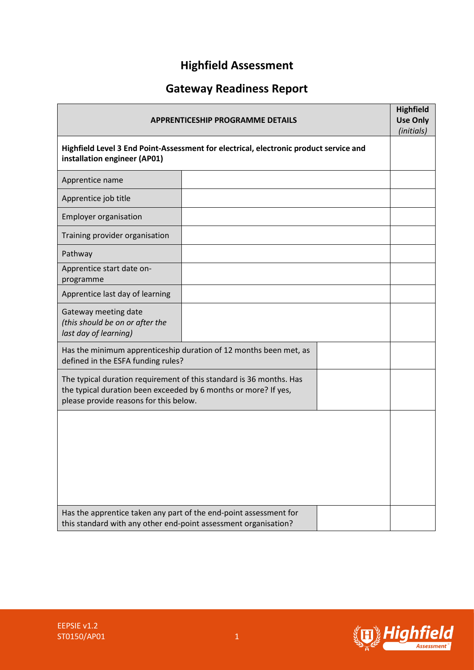# **Highfield Assessment**

# **Gateway Readiness Report**

| <b>APPRENTICESHIP PROGRAMME DETAILS</b><br>Highfield Level 3 End Point-Assessment for electrical, electronic product service and<br>installation engineer (AP01)                 |  |  |  |
|----------------------------------------------------------------------------------------------------------------------------------------------------------------------------------|--|--|--|
|                                                                                                                                                                                  |  |  |  |
| Apprentice job title                                                                                                                                                             |  |  |  |
| <b>Employer organisation</b>                                                                                                                                                     |  |  |  |
| Training provider organisation                                                                                                                                                   |  |  |  |
| Pathway                                                                                                                                                                          |  |  |  |
| Apprentice start date on-<br>programme                                                                                                                                           |  |  |  |
| Apprentice last day of learning                                                                                                                                                  |  |  |  |
| Gateway meeting date<br>(this should be on or after the<br>last day of learning)                                                                                                 |  |  |  |
| Has the minimum apprenticeship duration of 12 months been met, as<br>defined in the ESFA funding rules?                                                                          |  |  |  |
| The typical duration requirement of this standard is 36 months. Has<br>the typical duration been exceeded by 6 months or more? If yes,<br>please provide reasons for this below. |  |  |  |
|                                                                                                                                                                                  |  |  |  |
|                                                                                                                                                                                  |  |  |  |
|                                                                                                                                                                                  |  |  |  |
|                                                                                                                                                                                  |  |  |  |
| Has the apprentice taken any part of the end-point assessment for<br>this standard with any other end-point assessment organisation?                                             |  |  |  |



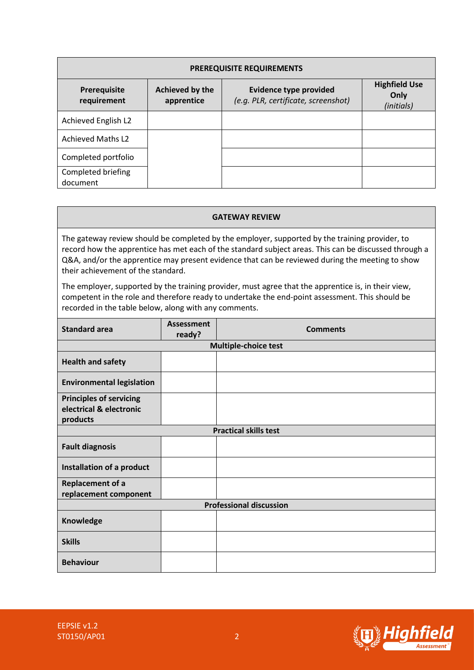| <b>PREREQUISITE REQUIREMENTS</b> |                               |                                                                      |                                            |  |  |  |  |
|----------------------------------|-------------------------------|----------------------------------------------------------------------|--------------------------------------------|--|--|--|--|
| Prerequisite<br>requirement      | Achieved by the<br>apprentice | <b>Evidence type provided</b><br>(e.g. PLR, certificate, screenshot) | <b>Highfield Use</b><br>Only<br>(initials) |  |  |  |  |
| Achieved English L2              |                               |                                                                      |                                            |  |  |  |  |
| <b>Achieved Maths L2</b>         |                               |                                                                      |                                            |  |  |  |  |
| Completed portfolio              |                               |                                                                      |                                            |  |  |  |  |
| Completed briefing<br>document   |                               |                                                                      |                                            |  |  |  |  |

#### **GATEWAY REVIEW**

The gateway review should be completed by the employer, supported by the training provider, to record how the apprentice has met each of the standard subject areas. This can be discussed through a Q&A, and/or the apprentice may present evidence that can be reviewed during the meeting to show their achievement of the standard.

The employer, supported by the training provider, must agree that the apprentice is, in their view, competent in the role and therefore ready to undertake the end-point assessment. This should be recorded in the table below, along with any comments.

| <b>Standard area</b>                                                  | <b>Assessment</b><br>ready? | <b>Comments</b> |  |  |  |
|-----------------------------------------------------------------------|-----------------------------|-----------------|--|--|--|
| <b>Multiple-choice test</b>                                           |                             |                 |  |  |  |
| <b>Health and safety</b>                                              |                             |                 |  |  |  |
| <b>Environmental legislation</b>                                      |                             |                 |  |  |  |
| <b>Principles of servicing</b><br>electrical & electronic<br>products |                             |                 |  |  |  |
| <b>Practical skills test</b>                                          |                             |                 |  |  |  |
| <b>Fault diagnosis</b>                                                |                             |                 |  |  |  |
| Installation of a product                                             |                             |                 |  |  |  |
| Replacement of a<br>replacement component                             |                             |                 |  |  |  |
| <b>Professional discussion</b>                                        |                             |                 |  |  |  |
| Knowledge                                                             |                             |                 |  |  |  |
| <b>Skills</b>                                                         |                             |                 |  |  |  |
| <b>Behaviour</b>                                                      |                             |                 |  |  |  |